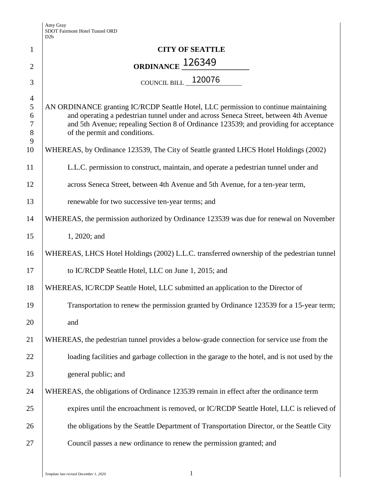|                                                      | D <sub>2</sub> b                                                                                                                                                                                                                                                                                      |
|------------------------------------------------------|-------------------------------------------------------------------------------------------------------------------------------------------------------------------------------------------------------------------------------------------------------------------------------------------------------|
| 1                                                    | <b>CITY OF SEATTLE</b>                                                                                                                                                                                                                                                                                |
| $\overline{2}$                                       | ORDINANCE 126349                                                                                                                                                                                                                                                                                      |
| 3                                                    | COUNCIL BILL 120076                                                                                                                                                                                                                                                                                   |
| $\overline{4}$<br>$\mathfrak{S}$<br>6<br>7<br>8<br>9 | AN ORDINANCE granting IC/RCDP Seattle Hotel, LLC permission to continue maintaining<br>and operating a pedestrian tunnel under and across Seneca Street, between 4th Avenue<br>and 5th Avenue; repealing Section 8 of Ordinance 123539; and providing for acceptance<br>of the permit and conditions. |
| 10                                                   | WHEREAS, by Ordinance 123539, The City of Seattle granted LHCS Hotel Holdings (2002)                                                                                                                                                                                                                  |
| 11                                                   | L.L.C. permission to construct, maintain, and operate a pedestrian tunnel under and                                                                                                                                                                                                                   |
| 12                                                   | across Seneca Street, between 4th Avenue and 5th Avenue, for a ten-year term,                                                                                                                                                                                                                         |
| 13                                                   | renewable for two successive ten-year terms; and                                                                                                                                                                                                                                                      |
| 14                                                   | WHEREAS, the permission authorized by Ordinance 123539 was due for renewal on November                                                                                                                                                                                                                |
| 15                                                   | 1, 2020; and                                                                                                                                                                                                                                                                                          |
| 16                                                   | WHEREAS, LHCS Hotel Holdings (2002) L.L.C. transferred ownership of the pedestrian tunnel                                                                                                                                                                                                             |
| 17                                                   | to IC/RCDP Seattle Hotel, LLC on June 1, 2015; and                                                                                                                                                                                                                                                    |
| 18                                                   | WHEREAS, IC/RCDP Seattle Hotel, LLC submitted an application to the Director of                                                                                                                                                                                                                       |
| 19                                                   | Transportation to renew the permission granted by Ordinance 123539 for a 15-year term;                                                                                                                                                                                                                |
| 20                                                   | and                                                                                                                                                                                                                                                                                                   |
| 21                                                   | WHEREAS, the pedestrian tunnel provides a below-grade connection for service use from the                                                                                                                                                                                                             |
| 22                                                   | loading facilities and garbage collection in the garage to the hotel, and is not used by the                                                                                                                                                                                                          |
| 23                                                   | general public; and                                                                                                                                                                                                                                                                                   |
| 24                                                   | WHEREAS, the obligations of Ordinance 123539 remain in effect after the ordinance term                                                                                                                                                                                                                |
| 25                                                   | expires until the encroachment is removed, or IC/RCDP Seattle Hotel, LLC is relieved of                                                                                                                                                                                                               |
| 26                                                   | the obligations by the Seattle Department of Transportation Director, or the Seattle City                                                                                                                                                                                                             |
| 27                                                   | Council passes a new ordinance to renew the permission granted; and                                                                                                                                                                                                                                   |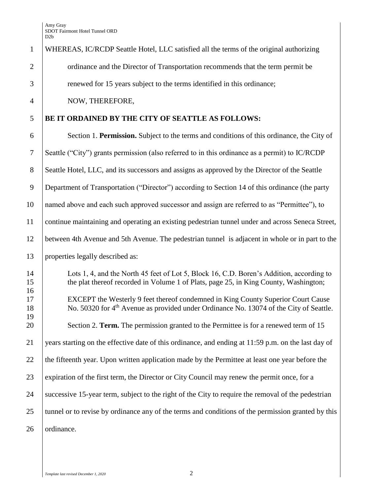| $\mathbf{1}$   | WHEREAS, IC/RCDP Seattle Hotel, LLC satisfied all the terms of the original authorizing                                                                                                |
|----------------|----------------------------------------------------------------------------------------------------------------------------------------------------------------------------------------|
| $\overline{2}$ | ordinance and the Director of Transportation recommends that the term permit be                                                                                                        |
| 3              | renewed for 15 years subject to the terms identified in this ordinance;                                                                                                                |
| $\overline{4}$ | NOW, THEREFORE,                                                                                                                                                                        |
| 5              | BE IT ORDAINED BY THE CITY OF SEATTLE AS FOLLOWS:                                                                                                                                      |
| 6              | Section 1. Permission. Subject to the terms and conditions of this ordinance, the City of                                                                                              |
| 7              | Seattle ("City") grants permission (also referred to in this ordinance as a permit) to IC/RCDP                                                                                         |
| 8              | Seattle Hotel, LLC, and its successors and assigns as approved by the Director of the Seattle                                                                                          |
| 9              | Department of Transportation ("Director") according to Section 14 of this ordinance (the party                                                                                         |
| 10             | named above and each such approved successor and assign are referred to as "Permittee"), to                                                                                            |
| 11             | continue maintaining and operating an existing pedestrian tunnel under and across Seneca Street,                                                                                       |
| 12             | between 4th Avenue and 5th Avenue. The pedestrian tunnel is adjacent in whole or in part to the                                                                                        |
| 13             | properties legally described as:                                                                                                                                                       |
| 14<br>15       | Lots 1, 4, and the North 45 feet of Lot 5, Block 16, C.D. Boren's Addition, according to<br>the plat thereof recorded in Volume 1 of Plats, page 25, in King County, Washington;       |
| 16<br>17<br>18 | EXCEPT the Westerly 9 feet thereof condemned in King County Superior Court Cause<br>No. 50320 for 4 <sup>th</sup> Avenue as provided under Ordinance No. 13074 of the City of Seattle. |
| 19<br>20       | Section 2. Term. The permission granted to the Permittee is for a renewed term of 15                                                                                                   |
| 21             | years starting on the effective date of this ordinance, and ending at 11:59 p.m. on the last day of                                                                                    |
| 22             | the fifteenth year. Upon written application made by the Permittee at least one year before the                                                                                        |
| 23             | expiration of the first term, the Director or City Council may renew the permit once, for a                                                                                            |
| 24             | successive 15-year term, subject to the right of the City to require the removal of the pedestrian                                                                                     |
| 25             | tunnel or to revise by ordinance any of the terms and conditions of the permission granted by this                                                                                     |
| 26             | ordinance.                                                                                                                                                                             |
|                |                                                                                                                                                                                        |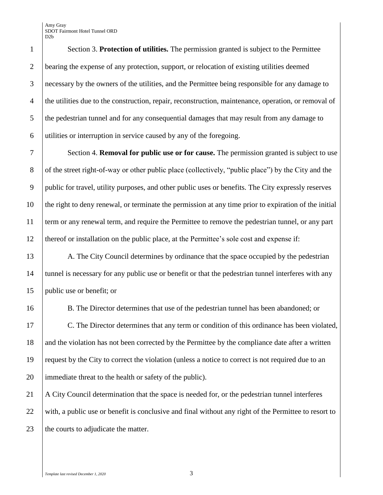Section 3. **Protection of utilities.** The permission granted is subject to the Permittee bearing the expense of any protection, support, or relocation of existing utilities deemed necessary by the owners of the utilities, and the Permittee being responsible for any damage to the utilities due to the construction, repair, reconstruction, maintenance, operation, or removal of the pedestrian tunnel and for any consequential damages that may result from any damage to utilities or interruption in service caused by any of the foregoing.

 Section 4. **Removal for public use or for cause.** The permission granted is subject to use 8 of the street right-of-way or other public place (collectively, "public place") by the City and the public for travel, utility purposes, and other public uses or benefits. The City expressly reserves the right to deny renewal, or terminate the permission at any time prior to expiration of the initial term or any renewal term, and require the Permittee to remove the pedestrian tunnel, or any part thereof or installation on the public place, at the Permittee's sole cost and expense if:

13 A. The City Council determines by ordinance that the space occupied by the pedestrian tunnel is necessary for any public use or benefit or that the pedestrian tunnel interferes with any public use or benefit; or

 B. The Director determines that use of the pedestrian tunnel has been abandoned; or 17 C. The Director determines that any term or condition of this ordinance has been violated, 18 and the violation has not been corrected by the Permittee by the compliance date after a written request by the City to correct the violation (unless a notice to correct is not required due to an immediate threat to the health or safety of the public).

 A City Council determination that the space is needed for, or the pedestrian tunnel interferes with, a public use or benefit is conclusive and final without any right of the Permittee to resort to 23 the courts to adjudicate the matter.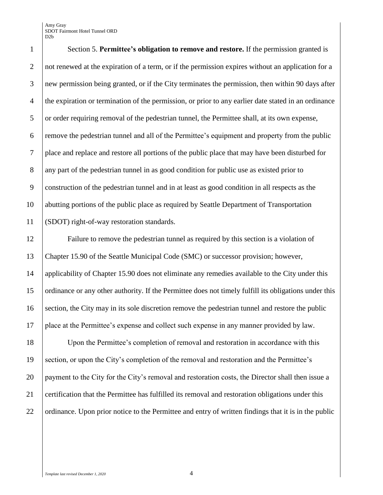Amy Gray SDOT Fairmont Hotel Tunnel ORD D2b

 Section 5. **Permittee's obligation to remove and restore.** If the permission granted is not renewed at the expiration of a term, or if the permission expires without an application for a new permission being granted, or if the City terminates the permission, then within 90 days after the expiration or termination of the permission, or prior to any earlier date stated in an ordinance or order requiring removal of the pedestrian tunnel, the Permittee shall, at its own expense, remove the pedestrian tunnel and all of the Permittee's equipment and property from the public place and replace and restore all portions of the public place that may have been disturbed for any part of the pedestrian tunnel in as good condition for public use as existed prior to construction of the pedestrian tunnel and in at least as good condition in all respects as the abutting portions of the public place as required by Seattle Department of Transportation (SDOT) right-of-way restoration standards.

 Failure to remove the pedestrian tunnel as required by this section is a violation of Chapter 15.90 of the Seattle Municipal Code (SMC) or successor provision; however, 14 applicability of Chapter 15.90 does not eliminate any remedies available to the City under this ordinance or any other authority. If the Permittee does not timely fulfill its obligations under this 16 section, the City may in its sole discretion remove the pedestrian tunnel and restore the public place at the Permittee's expense and collect such expense in any manner provided by law.

 Upon the Permittee's completion of removal and restoration in accordance with this section, or upon the City's completion of the removal and restoration and the Permittee's payment to the City for the City's removal and restoration costs, the Director shall then issue a certification that the Permittee has fulfilled its removal and restoration obligations under this 22 ordinance. Upon prior notice to the Permittee and entry of written findings that it is in the public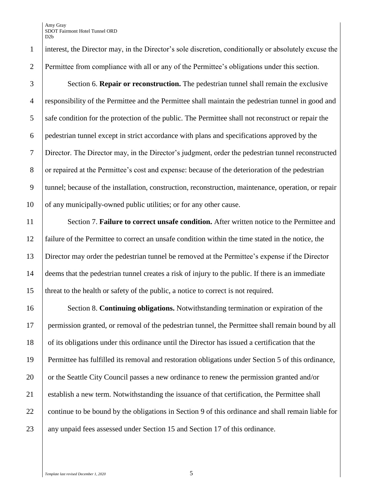Section 6. **Repair or reconstruction.** The pedestrian tunnel shall remain the exclusive responsibility of the Permittee and the Permittee shall maintain the pedestrian tunnel in good and safe condition for the protection of the public. The Permittee shall not reconstruct or repair the pedestrian tunnel except in strict accordance with plans and specifications approved by the Director. The Director may, in the Director's judgment, order the pedestrian tunnel reconstructed or repaired at the Permittee's cost and expense: because of the deterioration of the pedestrian tunnel; because of the installation, construction, reconstruction, maintenance, operation, or repair 10 of any municipally-owned public utilities; or for any other cause.

 Section 7. **Failure to correct unsafe condition.** After written notice to the Permittee and failure of the Permittee to correct an unsafe condition within the time stated in the notice, the Director may order the pedestrian tunnel be removed at the Permittee's expense if the Director deems that the pedestrian tunnel creates a risk of injury to the public. If there is an immediate threat to the health or safety of the public, a notice to correct is not required.

 Section 8. **Continuing obligations.** Notwithstanding termination or expiration of the 17 permission granted, or removal of the pedestrian tunnel, the Permittee shall remain bound by all of its obligations under this ordinance until the Director has issued a certification that the Permittee has fulfilled its removal and restoration obligations under Section 5 of this ordinance, 20 or the Seattle City Council passes a new ordinance to renew the permission granted and/or 21 Stablish a new term. Notwithstanding the issuance of that certification, the Permittee shall 22 \ continue to be bound by the obligations in Section 9 of this ordinance and shall remain liable for 23 any unpaid fees assessed under Section 15 and Section 17 of this ordinance.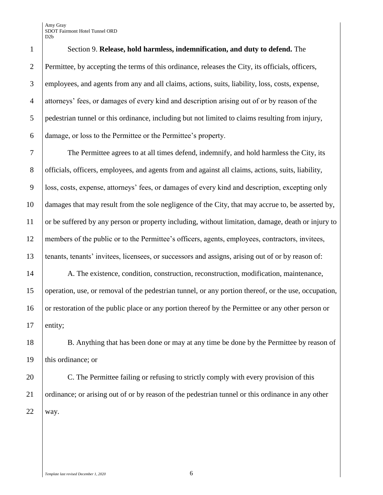Amy Gray SDOT Fairmont Hotel Tunnel ORD D2b

 Section 9. **Release, hold harmless, indemnification, and duty to defend.** The Permittee, by accepting the terms of this ordinance, releases the City, its officials, officers, employees, and agents from any and all claims, actions, suits, liability, loss, costs, expense, attorneys' fees, or damages of every kind and description arising out of or by reason of the pedestrian tunnel or this ordinance, including but not limited to claims resulting from injury, damage, or loss to the Permittee or the Permittee's property.

 The Permittee agrees to at all times defend, indemnify, and hold harmless the City, its officials, officers, employees, and agents from and against all claims, actions, suits, liability, loss, costs, expense, attorneys' fees, or damages of every kind and description, excepting only damages that may result from the sole negligence of the City, that may accrue to, be asserted by, or be suffered by any person or property including, without limitation, damage, death or injury to members of the public or to the Permittee's officers, agents, employees, contractors, invitees, tenants, tenants' invitees, licensees, or successors and assigns, arising out of or by reason of:

14 A. The existence, condition, construction, reconstruction, modification, maintenance, operation, use, or removal of the pedestrian tunnel, or any portion thereof, or the use, occupation, 16 or restoration of the public place or any portion thereof by the Permittee or any other person or entity;

 B. Anything that has been done or may at any time be done by the Permittee by reason of 19 | this ordinance; or

20 C. The Permittee failing or refusing to strictly comply with every provision of this 21 ordinance; or arising out of or by reason of the pedestrian tunnel or this ordinance in any other way.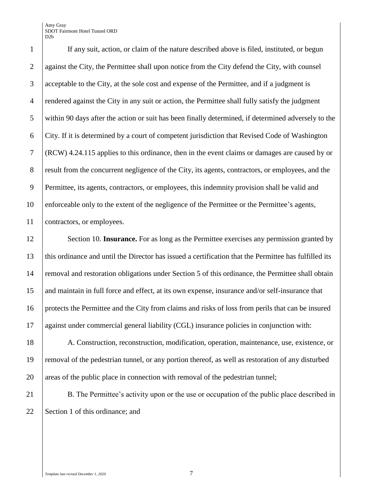Amy Gray SDOT Fairmont Hotel Tunnel ORD D2b

 If any suit, action, or claim of the nature described above is filed, instituted, or begun 2 against the City, the Permittee shall upon notice from the City defend the City, with counsel acceptable to the City, at the sole cost and expense of the Permittee, and if a judgment is rendered against the City in any suit or action, the Permittee shall fully satisfy the judgment within 90 days after the action or suit has been finally determined, if determined adversely to the City. If it is determined by a court of competent jurisdiction that Revised Code of Washington (RCW) 4.24.115 applies to this ordinance, then in the event claims or damages are caused by or 8 result from the concurrent negligence of the City, its agents, contractors, or employees, and the Permittee, its agents, contractors, or employees, this indemnity provision shall be valid and enforceable only to the extent of the negligence of the Permittee or the Permittee's agents, contractors, or employees.

12 Section 10. **Insurance.** For as long as the Permittee exercises any permission granted by this ordinance and until the Director has issued a certification that the Permittee has fulfilled its removal and restoration obligations under Section 5 of this ordinance, the Permittee shall obtain and maintain in full force and effect, at its own expense, insurance and/or self-insurance that protects the Permittee and the City from claims and risks of loss from perils that can be insured against under commercial general liability (CGL) insurance policies in conjunction with:

 A. Construction, reconstruction, modification, operation, maintenance, use, existence, or removal of the pedestrian tunnel, or any portion thereof, as well as restoration of any disturbed 20 areas of the public place in connection with removal of the pedestrian tunnel;

21 B. The Permittee's activity upon or the use or occupation of the public place described in 22 Section 1 of this ordinance; and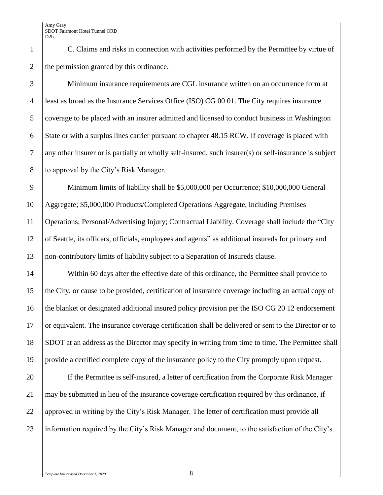C. Claims and risks in connection with activities performed by the Permittee by virtue of 2 the permission granted by this ordinance.

 Minimum insurance requirements are CGL insurance written on an occurrence form at least as broad as the Insurance Services Office (ISO) CG 00 01. The City requires insurance coverage to be placed with an insurer admitted and licensed to conduct business in Washington State or with a surplus lines carrier pursuant to chapter 48.15 RCW. If coverage is placed with any other insurer or is partially or wholly self-insured, such insurer(s) or self-insurance is subject 8 to approval by the City's Risk Manager.

 Minimum limits of liability shall be \$5,000,000 per Occurrence; \$10,000,000 General Aggregate; \$5,000,000 Products/Completed Operations Aggregate, including Premises Operations; Personal/Advertising Injury; Contractual Liability. Coverage shall include the "City of Seattle, its officers, officials, employees and agents" as additional insureds for primary and non-contributory limits of liability subject to a Separation of Insureds clause.

14 Within 60 days after the effective date of this ordinance, the Permittee shall provide to the City, or cause to be provided, certification of insurance coverage including an actual copy of 16 the blanket or designated additional insured policy provision per the ISO CG 20 12 endorsement or equivalent. The insurance coverage certification shall be delivered or sent to the Director or to SDOT at an address as the Director may specify in writing from time to time. The Permittee shall provide a certified complete copy of the insurance policy to the City promptly upon request.

 If the Permittee is self-insured, a letter of certification from the Corporate Risk Manager may be submitted in lieu of the insurance coverage certification required by this ordinance, if 22 approved in writing by the City's Risk Manager. The letter of certification must provide all information required by the City's Risk Manager and document, to the satisfaction of the City's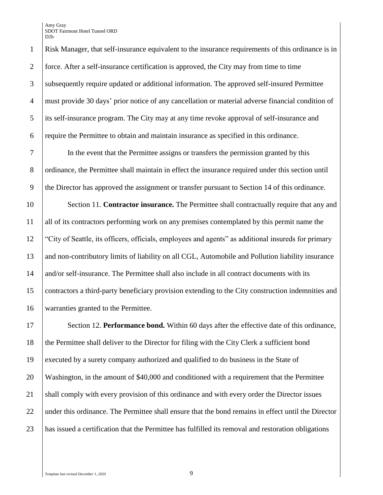Risk Manager, that self-insurance equivalent to the insurance requirements of this ordinance is in 2 force. After a self-insurance certification is approved, the City may from time to time subsequently require updated or additional information. The approved self-insured Permittee must provide 30 days' prior notice of any cancellation or material adverse financial condition of its self-insurance program. The City may at any time revoke approval of self-insurance and require the Permittee to obtain and maintain insurance as specified in this ordinance.

 In the event that the Permittee assigns or transfers the permission granted by this ordinance, the Permittee shall maintain in effect the insurance required under this section until the Director has approved the assignment or transfer pursuant to Section 14 of this ordinance.

 Section 11. **Contractor insurance.** The Permittee shall contractually require that any and all of its contractors performing work on any premises contemplated by this permit name the "City of Seattle, its officers, officials, employees and agents" as additional insureds for primary and non-contributory limits of liability on all CGL, Automobile and Pollution liability insurance and/or self-insurance. The Permittee shall also include in all contract documents with its contractors a third-party beneficiary provision extending to the City construction indemnities and warranties granted to the Permittee.

17 Section 12. **Performance bond.** Within 60 days after the effective date of this ordinance, 18 the Permittee shall deliver to the Director for filing with the City Clerk a sufficient bond executed by a surety company authorized and qualified to do business in the State of Washington, in the amount of \$40,000 and conditioned with a requirement that the Permittee 21 Shall comply with every provision of this ordinance and with every order the Director issues 22 under this ordinance. The Permittee shall ensure that the bond remains in effect until the Director has issued a certification that the Permittee has fulfilled its removal and restoration obligations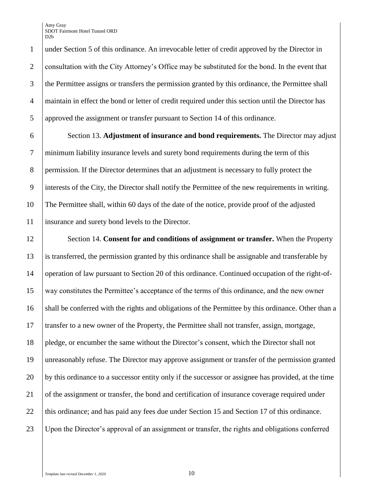under Section 5 of this ordinance. An irrevocable letter of credit approved by the Director in 2 consultation with the City Attorney's Office may be substituted for the bond. In the event that the Permittee assigns or transfers the permission granted by this ordinance, the Permittee shall maintain in effect the bond or letter of credit required under this section until the Director has approved the assignment or transfer pursuant to Section 14 of this ordinance.

 Section 13. **Adjustment of insurance and bond requirements.** The Director may adjust minimum liability insurance levels and surety bond requirements during the term of this 8 permission. If the Director determines that an adjustment is necessary to fully protect the interests of the City, the Director shall notify the Permittee of the new requirements in writing. The Permittee shall, within 60 days of the date of the notice, provide proof of the adjusted insurance and surety bond levels to the Director.

 Section 14. **Consent for and conditions of assignment or transfer.** When the Property is transferred, the permission granted by this ordinance shall be assignable and transferable by operation of law pursuant to Section 20 of this ordinance. Continued occupation of the right-of- way constitutes the Permittee's acceptance of the terms of this ordinance, and the new owner 16 shall be conferred with the rights and obligations of the Permittee by this ordinance. Other than a transfer to a new owner of the Property, the Permittee shall not transfer, assign, mortgage, pledge, or encumber the same without the Director's consent, which the Director shall not unreasonably refuse. The Director may approve assignment or transfer of the permission granted by this ordinance to a successor entity only if the successor or assignee has provided, at the time 21 of the assignment or transfer, the bond and certification of insurance coverage required under 22 this ordinance; and has paid any fees due under Section 15 and Section 17 of this ordinance. Upon the Director's approval of an assignment or transfer, the rights and obligations conferred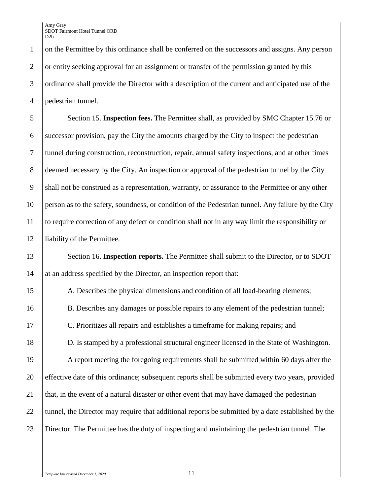on the Permittee by this ordinance shall be conferred on the successors and assigns. Any person 2 or entity seeking approval for an assignment or transfer of the permission granted by this ordinance shall provide the Director with a description of the current and anticipated use of the pedestrian tunnel.

 Section 15. **Inspection fees.** The Permittee shall, as provided by SMC Chapter 15.76 or successor provision, pay the City the amounts charged by the City to inspect the pedestrian tunnel during construction, reconstruction, repair, annual safety inspections, and at other times 8 deemed necessary by the City. An inspection or approval of the pedestrian tunnel by the City 9 shall not be construed as a representation, warranty, or assurance to the Permittee or any other person as to the safety, soundness, or condition of the Pedestrian tunnel. Any failure by the City to require correction of any defect or condition shall not in any way limit the responsibility or liability of the Permittee.

13 Section 16. **Inspection reports.** The Permittee shall submit to the Director, or to SDOT 14 at an address specified by the Director, an inspection report that:

 A. Describes the physical dimensions and condition of all load-bearing elements; 16 B. Describes any damages or possible repairs to any element of the pedestrian tunnel; C. Prioritizes all repairs and establishes a timeframe for making repairs; and D. Is stamped by a professional structural engineer licensed in the State of Washington. A report meeting the foregoing requirements shall be submitted within 60 days after the effective date of this ordinance; subsequent reports shall be submitted every two years, provided 21 that, in the event of a natural disaster or other event that may have damaged the pedestrian 22 ultunnel, the Director may require that additional reports be submitted by a date established by the Director. The Permittee has the duty of inspecting and maintaining the pedestrian tunnel. The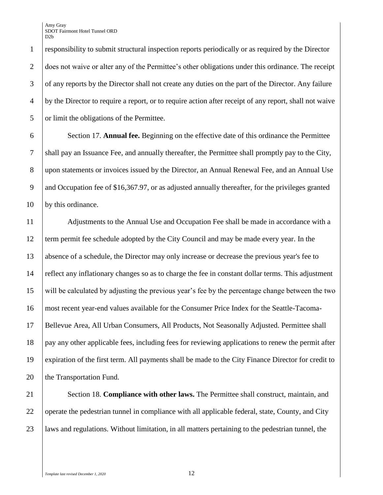1 responsibility to submit structural inspection reports periodically or as required by the Director 2 does not waive or alter any of the Permittee's other obligations under this ordinance. The receipt 3 of any reports by the Director shall not create any duties on the part of the Director. Any failure 4 by the Director to require a report, or to require action after receipt of any report, shall not waive 5 or limit the obligations of the Permittee.

6 Section 17. **Annual fee.** Beginning on the effective date of this ordinance the Permittee 7 shall pay an Issuance Fee, and annually thereafter, the Permittee shall promptly pay to the City, 8 upon statements or invoices issued by the Director, an Annual Renewal Fee, and an Annual Use 9 and Occupation fee of \$16,367.97, or as adjusted annually thereafter, for the privileges granted 10 by this ordinance.

 Adjustments to the Annual Use and Occupation Fee shall be made in accordance with a term permit fee schedule adopted by the City Council and may be made every year. In the absence of a schedule, the Director may only increase or decrease the previous year's fee to reflect any inflationary changes so as to charge the fee in constant dollar terms. This adjustment will be calculated by adjusting the previous year's fee by the percentage change between the two most recent year-end values available for the Consumer Price Index for the Seattle-Tacoma- Bellevue Area, All Urban Consumers, All Products, Not Seasonally Adjusted. Permittee shall pay any other applicable fees, including fees for reviewing applications to renew the permit after expiration of the first term. All payments shall be made to the City Finance Director for credit to 20 the Transportation Fund.

21 Section 18. **Compliance with other laws.** The Permittee shall construct, maintain, and 22 operate the pedestrian tunnel in compliance with all applicable federal, state, County, and City 23 laws and regulations. Without limitation, in all matters pertaining to the pedestrian tunnel, the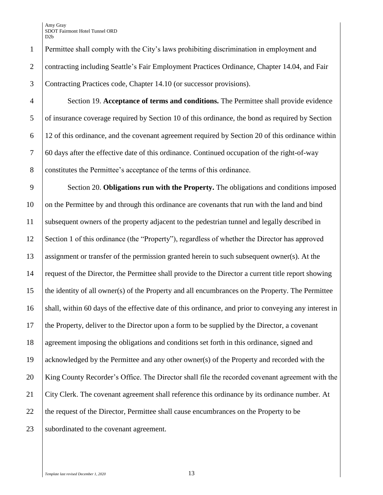Permittee shall comply with the City's laws prohibiting discrimination in employment and 2 Contracting including Seattle's Fair Employment Practices Ordinance, Chapter 14.04, and Fair Contracting Practices code, Chapter 14.10 (or successor provisions).

 Section 19. **Acceptance of terms and conditions.** The Permittee shall provide evidence of insurance coverage required by Section 10 of this ordinance, the bond as required by Section 12 of this ordinance, and the covenant agreement required by Section 20 of this ordinance within 60 days after the effective date of this ordinance. Continued occupation of the right-of-way constitutes the Permittee's acceptance of the terms of this ordinance.

 Section 20. **Obligations run with the Property.** The obligations and conditions imposed 10 on the Permittee by and through this ordinance are covenants that run with the land and bind subsequent owners of the property adjacent to the pedestrian tunnel and legally described in Section 1 of this ordinance (the "Property"), regardless of whether the Director has approved assignment or transfer of the permission granted herein to such subsequent owner(s). At the request of the Director, the Permittee shall provide to the Director a current title report showing the identity of all owner(s) of the Property and all encumbrances on the Property. The Permittee 16 shall, within 60 days of the effective date of this ordinance, and prior to conveying any interest in the Property, deliver to the Director upon a form to be supplied by the Director, a covenant agreement imposing the obligations and conditions set forth in this ordinance, signed and acknowledged by the Permittee and any other owner(s) of the Property and recorded with the King County Recorder's Office. The Director shall file the recorded covenant agreement with the City Clerk. The covenant agreement shall reference this ordinance by its ordinance number. At 22 the request of the Director, Permittee shall cause encumbrances on the Property to be 23 Subordinated to the covenant agreement.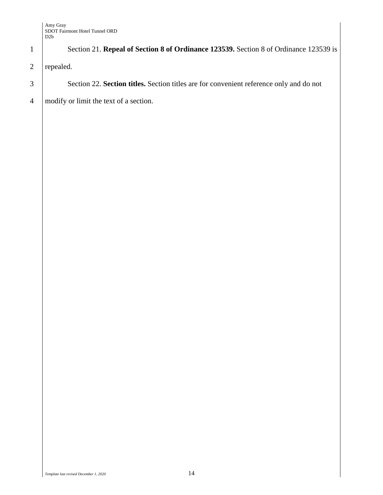|                | D2b                                                                                     |
|----------------|-----------------------------------------------------------------------------------------|
| $\mathbf{1}$   | Section 21. Repeal of Section 8 of Ordinance 123539. Section 8 of Ordinance 123539 is   |
| $\overline{2}$ | repealed.                                                                               |
| $\mathfrak{Z}$ | Section 22. Section titles. Section titles are for convenient reference only and do not |
| $\overline{4}$ | modify or limit the text of a section.                                                  |
|                |                                                                                         |
|                |                                                                                         |
|                |                                                                                         |
|                |                                                                                         |
|                |                                                                                         |
|                |                                                                                         |
|                |                                                                                         |
|                |                                                                                         |
|                |                                                                                         |
|                |                                                                                         |
|                |                                                                                         |
|                |                                                                                         |
|                |                                                                                         |
|                |                                                                                         |
|                |                                                                                         |
|                |                                                                                         |
|                |                                                                                         |
|                |                                                                                         |
|                |                                                                                         |
|                |                                                                                         |
|                |                                                                                         |
|                |                                                                                         |